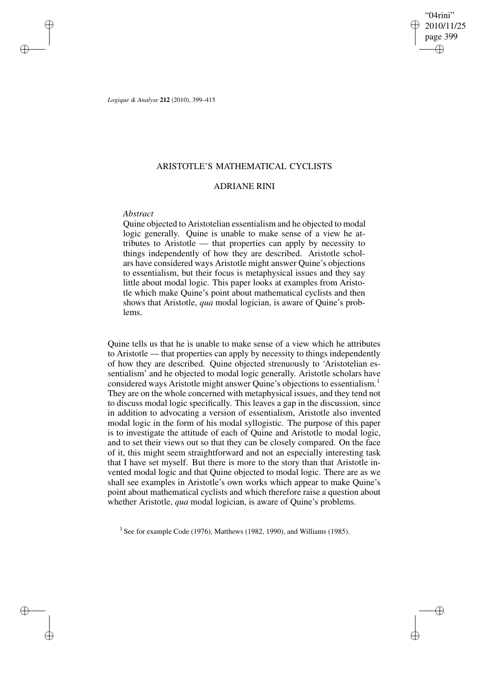"04rini" 2010/11/25 page 399 ✐ ✐

✐

✐

*Logique & Analyse* **212** (2010), 399–415

# ARISTOTLE'S MATHEMATICAL CYCLISTS

## ADRIANE RINI

## *Abstract*

✐

✐

✐

✐

Quine objected to Aristotelian essentialism and he objected to modal logic generally. Quine is unable to make sense of a view he attributes to Aristotle — that properties can apply by necessity to things independently of how they are described. Aristotle scholars have considered ways Aristotle might answer Quine's objections to essentialism, but their focus is metaphysical issues and they say little about modal logic. This paper looks at examples from Aristotle which make Quine's point about mathematical cyclists and then shows that Aristotle, *qua* modal logician, is aware of Quine's problems.

Quine tells us that he is unable to make sense of a view which he attributes to Aristotle — that properties can apply by necessity to things independently of how they are described. Quine objected strenuously to 'Aristotelian essentialism' and he objected to modal logic generally. Aristotle scholars have considered ways Aristotle might answer Quine's objections to essentialism.<sup>1</sup> They are on the whole concerned with metaphysical issues, and they tend not to discuss modal logic specifically. This leaves a gap in the discussion, since in addition to advocating a version of essentialism, Aristotle also invented modal logic in the form of his modal syllogistic. The purpose of this paper is to investigate the attitude of each of Quine and Aristotle to modal logic, and to set their views out so that they can be closely compared. On the face of it, this might seem straightforward and not an especially interesting task that I have set myself. But there is more to the story than that Aristotle invented modal logic and that Quine objected to modal logic. There are as we shall see examples in Aristotle's own works which appear to make Quine's point about mathematical cyclists and which therefore raise a question about whether Aristotle, *qua* modal logician, is aware of Quine's problems.

<sup>1</sup> See for example Code (1976), Matthews (1982, 1990), and Williams (1985).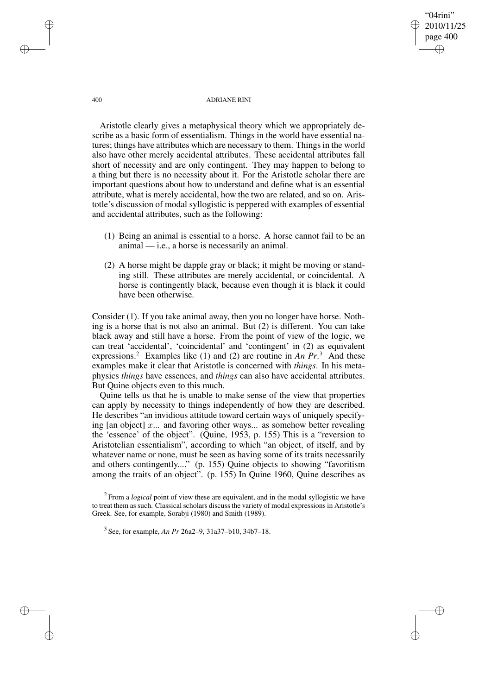"04rini" 2010/11/25 page 400 ✐ ✐

✐

✐

400 ADRIANE RINI

Aristotle clearly gives a metaphysical theory which we appropriately describe as a basic form of essentialism. Things in the world have essential natures; things have attributes which are necessary to them. Things in the world also have other merely accidental attributes. These accidental attributes fall short of necessity and are only contingent. They may happen to belong to a thing but there is no necessity about it. For the Aristotle scholar there are important questions about how to understand and define what is an essential attribute, what is merely accidental, how the two are related, and so on. Aristotle's discussion of modal syllogistic is peppered with examples of essential and accidental attributes, such as the following:

- (1) Being an animal is essential to a horse. A horse cannot fail to be an  $a$ nimal — i.e., a horse is necessarily an animal.
- (2) A horse might be dapple gray or black; it might be moving or standing still. These attributes are merely accidental, or coincidental. A horse is contingently black, because even though it is black it could have been otherwise.

Consider (1). If you take animal away, then you no longer have horse. Nothing is a horse that is not also an animal. But (2) is different. You can take black away and still have a horse. From the point of view of the logic, we can treat 'accidental', 'coincidental' and 'contingent' in (2) as equivalent expressions.<sup>2</sup> Examples like (1) and (2) are routine in *An*  $Pr$ <sup>3</sup>. And these examples make it clear that Aristotle is concerned with *things*. In his metaphysics *things* have essences, and *things* can also have accidental attributes. But Quine objects even to this much.

Quine tells us that he is unable to make sense of the view that properties can apply by necessity to things independently of how they are described. He describes "an invidious attitude toward certain ways of uniquely specifying [an object]  $x$ ... and favoring other ways... as somehow better revealing the 'essence' of the object". (Quine, 1953, p. 155) This is a "reversion to Aristotelian essentialism", according to which "an object, of itself, and by whatever name or none, must be seen as having some of its traits necessarily and others contingently...." (p. 155) Quine objects to showing "favoritism among the traits of an object". (p. 155) In Quine 1960, Quine describes as

2 From a *logical* point of view these are equivalent, and in the modal syllogistic we have to treat them as such. Classical scholars discuss the variety of modal expressions in Aristotle's Greek. See, for example, Sorabji (1980) and Smith (1989).

3 See, for example, *An Pr* 26a2–9, 31a37–b10, 34b7–18.

✐

✐

✐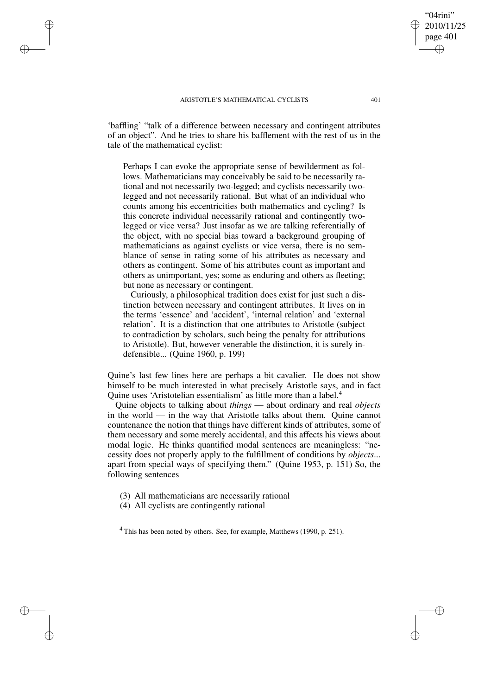✐

✐

✐

✐

'baffling' "talk of a difference between necessary and contingent attributes of an object". And he tries to share his bafflement with the rest of us in the tale of the mathematical cyclist:

Perhaps I can evoke the appropriate sense of bewilderment as follows. Mathematicians may conceivably be said to be necessarily rational and not necessarily two-legged; and cyclists necessarily twolegged and not necessarily rational. But what of an individual who counts among his eccentricities both mathematics and cycling? Is this concrete individual necessarily rational and contingently twolegged or vice versa? Just insofar as we are talking referentially of the object, with no special bias toward a background grouping of mathematicians as against cyclists or vice versa, there is no semblance of sense in rating some of his attributes as necessary and others as contingent. Some of his attributes count as important and others as unimportant, yes; some as enduring and others as fleeting; but none as necessary or contingent.

Curiously, a philosophical tradition does exist for just such a distinction between necessary and contingent attributes. It lives on in the terms 'essence' and 'accident', 'internal relation' and 'external relation'. It is a distinction that one attributes to Aristotle (subject to contradiction by scholars, such being the penalty for attributions to Aristotle). But, however venerable the distinction, it is surely indefensible... (Quine 1960, p. 199)

Quine's last few lines here are perhaps a bit cavalier. He does not show himself to be much interested in what precisely Aristotle says, and in fact Quine uses 'Aristotelian essentialism' as little more than a label.<sup>4</sup>

Quine objects to talking about *things* — about ordinary and real *objects* in the world — in the way that Aristotle talks about them. Quine cannot countenance the notion that things have different kinds of attributes, some of them necessary and some merely accidental, and this affects his views about modal logic. He thinks quantified modal sentences are meaningless: "necessity does not properly apply to the fulfillment of conditions by *objects*... apart from special ways of specifying them." (Quine 1953, p. 151) So, the following sentences

(3) All mathematicians are necessarily rational

(4) All cyclists are contingently rational

 $4$  This has been noted by others. See, for example, Matthews (1990, p. 251).

"04rini" 2010/11/25 page 401

✐

✐

✐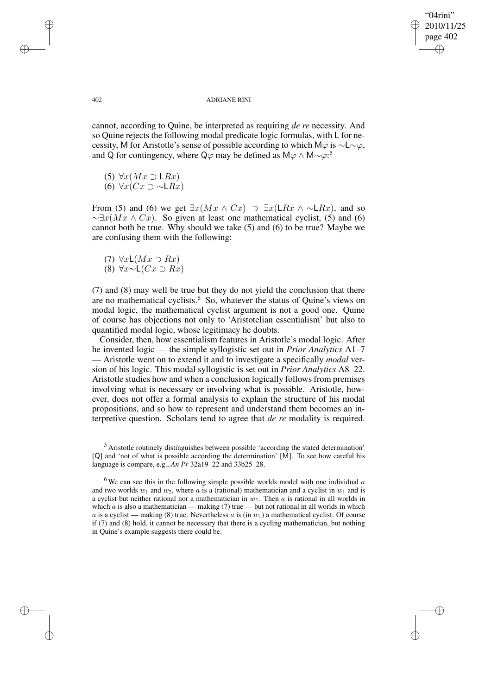✐

✐

### 402 ADRIANE RINI

cannot, according to Quine, be interpreted as requiring *de re* necessity. And so Quine rejects the following modal predicate logic formulas, with L for necessity, M for Aristotle's sense of possible according to which M $\varphi$  is  $\sim$ L $\sim \varphi$ , and Q for contingency, where Q $\varphi$  may be defined as M $\varphi \wedge M \sim \varphi$ :<sup>5</sup>

- (5)  $\forall x (Mx \supset \mathsf{L}Rx)$
- (6)  $\forall x(Cx \supset \sim \mathsf{L}Rx)$

From (5) and (6) we get  $\exists x(Mx \land Cx) \supset \exists x(LRx \land \sim LRx)$ , and so  $\sim \exists x (Mx \wedge Cx)$ . So given at least one mathematical cyclist, (5) and (6) cannot both be true. Why should we take (5) and (6) to be true? Maybe we are confusing them with the following:

- (7)  $\forall x \mathsf{L}(Mx \supset Rx)$
- (8) ∀x∼L(Cx ⊃ Rx)

(7) and (8) may well be true but they do not yield the conclusion that there are no mathematical cyclists.<sup>6</sup> So, whatever the status of Quine's views on modal logic, the mathematical cyclist argument is not a good one. Quine of course has objections not only to 'Aristotelian essentialism' but also to quantified modal logic, whose legitimacy he doubts.

Consider, then, how essentialism features in Aristotle's modal logic. After he invented logic — the simple syllogistic set out in *Prior Analytics* A1–7 — Aristotle went on to extend it and to investigate a specifically *modal* version of his logic. This modal syllogistic is set out in *Prior Analytics* A8–22. Aristotle studies how and when a conclusion logically follows from premises involving what is necessary or involving what is possible. Aristotle, however, does not offer a formal analysis to explain the structure of his modal propositions, and so how to represent and understand them becomes an interpretive question. Scholars tend to agree that *de re* modality is required.

✐

✐

✐

<sup>5</sup> Aristotle routinely distinguishes between possible 'according the stated determination' [Q] and 'not of what is possible according the determination' [M]. To see how careful his language is compare, e.g., *An Pr* 32a19–22 and 33b25–28.

<sup>&</sup>lt;sup>6</sup>We can see this in the following simple possible worlds model with one individual  $\alpha$ and two worlds  $w_1$  and  $w_2$ , where a is a (rational) mathematician and a cyclist in  $w_1$  and is a cyclist but neither rational nor a mathematician in  $w_2$ . Then  $a$  is rational in all worlds in which  $a$  is also a mathematician — making (7) true — but not rational in all worlds in which a is a cyclist — making (8) true. Nevertheless a is (in  $w_1$ ) a mathematical cyclist. Of course if (7) and (8) hold, it cannot be necessary that there is a cycling mathematician, but nothing in Quine's example suggests there could be.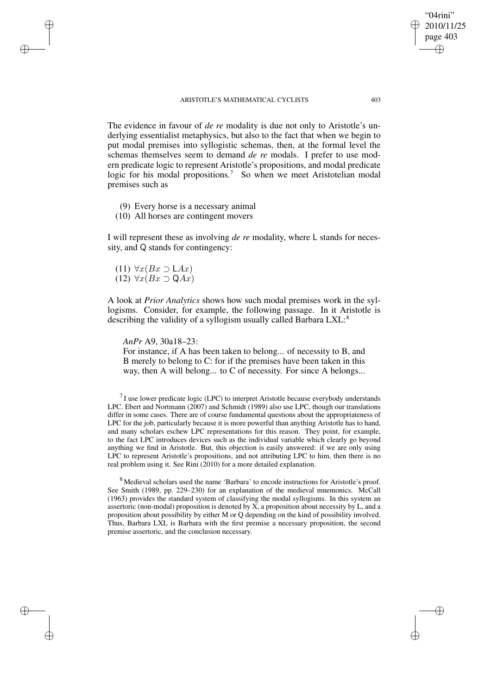The evidence in favour of *de re* modality is due not only to Aristotle's underlying essentialist metaphysics, but also to the fact that when we begin to put modal premises into syllogistic schemas, then, at the formal level the schemas themselves seem to demand *de re* modals. I prefer to use modern predicate logic to represent Aristotle's propositions, and modal predicate logic for his modal propositions.<sup>7</sup> So when we meet Aristotelian modal premises such as

- (9) Every horse is a necessary animal
- (10) All horses are contingent movers

I will represent these as involving *de re* modality, where L stands for necessity, and Q stands for contingency:

(11)  $\forall x(Bx \supset \mathsf{L}Ax)$ (12)  $\forall x(Bx \supset QAx)$ 

✐

✐

✐

✐

A look at *Prior Analytics* shows how such modal premises work in the syllogisms. Consider, for example, the following passage. In it Aristotle is describing the validity of a syllogism usually called Barbara LXL:<sup>8</sup>

*AnPr* A9, 30a18–23:

For instance, if A has been taken to belong... of necessity to B, and B merely to belong to C: for if the premises have been taken in this way, then A will belong... to C of necessity. For since A belongs...

 $17$  use lower predicate logic (LPC) to interpret Aristotle because everybody understands LPC. Ebert and Nortmann (2007) and Schmidt (1989) also use LPC, though our translations differ in some cases. There are of course fundamental questions about the appropriateness of LPC for the job, particularly because it is more powerful than anything Aristotle has to hand, and many scholars eschew LPC representations for this reason. They point, for example, to the fact LPC introduces devices such as the individual variable which clearly go beyond anything we find in Aristotle. But, this objection is easily answered: if we are only using LPC to represent Aristotle's propositions, and not attributing LPC to him, then there is no real problem using it. See Rini (2010) for a more detailed explanation.

<sup>8</sup> Medieval scholars used the name 'Barbara' to encode instructions for Aristotle's proof. See Smith (1989, pp. 229–230) for an explanation of the medieval mnemonics. McCall (1963) provides the standard system of classifying the modal syllogisms. In this system an assertoric (non-modal) proposition is denoted by  $X$ , a proposition about necessity by  $L$ , and a proposition about possibility by either M or Q depending on the kind of possibility involved. Thus, Barbara LXL is Barbara with the first premise a necessary proposition, the second premise assertoric, and the conclusion necessary.

"04rini" 2010/11/25 page 403

✐

✐

✐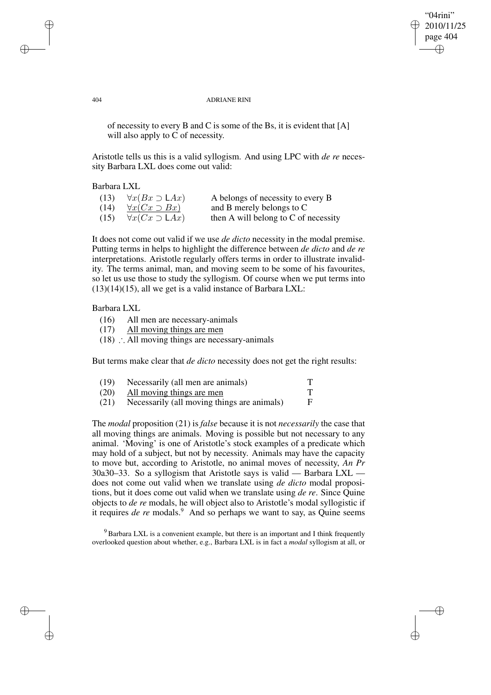✐

✐

### 404 ADRIANE RINI

of necessity to every B and C is some of the Bs, it is evident that [A] will also apply to C of necessity.

Aristotle tells us this is a valid syllogism. And using LPC with *de re* necessity Barbara LXL does come out valid:

Barbara LXL

| (13) | $\forall x(Bx \supset \mathsf{L}Ax)$ | A belongs of necessity to every B    |
|------|--------------------------------------|--------------------------------------|
| (14) | $\forall x(Cx \supset Bx)$           | and B merely belongs to C            |
| (15) | $\forall x(Cx \supset \mathsf{L}Ax)$ | then A will belong to C of necessity |

It does not come out valid if we use *de dicto* necessity in the modal premise. Putting terms in helps to highlight the difference between *de dicto* and *de re* interpretations. Aristotle regularly offers terms in order to illustrate invalidity. The terms animal, man, and moving seem to be some of his favourites, so let us use those to study the syllogism. Of course when we put terms into  $(13)(14)(15)$ , all we get is a valid instance of Barbara LXL:

### Barbara LXL

- (16) All men are necessary-animals
- (17) All moving things are men
- (18) ∴ All moving things are necessary-animals

But terms make clear that *de dicto* necessity does not get the right results:

| (19) | Necessarily (all men are animals)           | Т |
|------|---------------------------------------------|---|
| (20) | All moving things are men                   | Т |
| (21) | Necessarily (all moving things are animals) | F |

The *modal* proposition (21) is *false* because it is not *necessarily* the case that all moving things are animals. Moving is possible but not necessary to any animal. 'Moving' is one of Aristotle's stock examples of a predicate which may hold of a subject, but not by necessity. Animals may have the capacity to move but, according to Aristotle, no animal moves of necessity, *An Pr* 30a30–33. So a syllogism that Aristotle says is valid — Barbara LXL does not come out valid when we translate using *de dicto* modal propositions, but it does come out valid when we translate using *de re*. Since Quine objects to *de re* modals, he will object also to Aristotle's modal syllogistic if it requires *de re* modals.<sup>9</sup> And so perhaps we want to say, as Quine seems

<sup>9</sup> Barbara LXL is a convenient example, but there is an important and I think frequently overlooked question about whether, e.g., Barbara LXL is in fact a *modal* syllogism at all, or

✐

✐

✐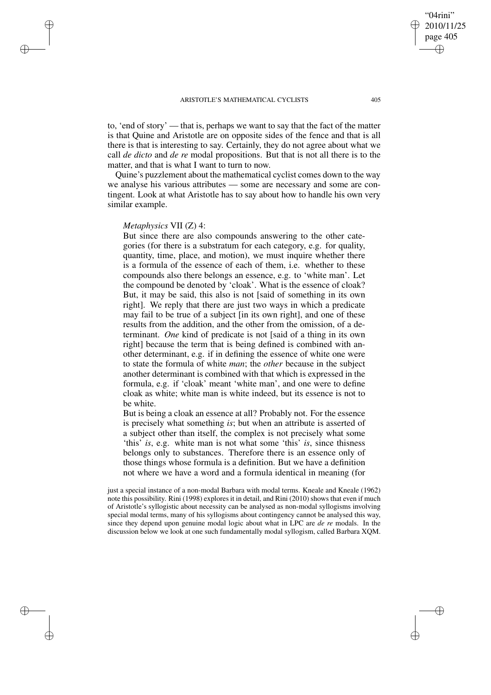to, 'end of story' — that is, perhaps we want to say that the fact of the matter is that Quine and Aristotle are on opposite sides of the fence and that is all there is that is interesting to say. Certainly, they do not agree about what we call *de dicto* and *de re* modal propositions. But that is not all there is to the matter, and that is what I want to turn to now.

Quine's puzzlement about the mathematical cyclist comes down to the way we analyse his various attributes — some are necessary and some are contingent. Look at what Aristotle has to say about how to handle his own very similar example.

### *Metaphysics* VII (Z) 4:

✐

✐

✐

✐

But since there are also compounds answering to the other categories (for there is a substratum for each category, e.g. for quality, quantity, time, place, and motion), we must inquire whether there is a formula of the essence of each of them, i.e. whether to these compounds also there belongs an essence, e.g. to 'white man'. Let the compound be denoted by 'cloak'. What is the essence of cloak? But, it may be said, this also is not [said of something in its own right]. We reply that there are just two ways in which a predicate may fail to be true of a subject [in its own right], and one of these results from the addition, and the other from the omission, of a determinant. *One* kind of predicate is not [said of a thing in its own right] because the term that is being defined is combined with another determinant, e.g. if in defining the essence of white one were to state the formula of white *man*; the *other* because in the subject another determinant is combined with that which is expressed in the formula, e.g. if 'cloak' meant 'white man', and one were to define cloak as white; white man is white indeed, but its essence is not to be white.

But is being a cloak an essence at all? Probably not. For the essence is precisely what something *is*; but when an attribute is asserted of a subject other than itself, the complex is not precisely what some 'this' *is*, e.g. white man is not what some 'this' *is*, since thisness belongs only to substances. Therefore there is an essence only of those things whose formula is a definition. But we have a definition not where we have a word and a formula identical in meaning (for

just a special instance of a non-modal Barbara with modal terms. Kneale and Kneale (1962) note this possibility. Rini (1998) explores it in detail, and Rini (2010) shows that even if much of Aristotle's syllogistic about necessity can be analysed as non-modal syllogisms involving special modal terms, many of his syllogisms about contingency cannot be analysed this way, since they depend upon genuine modal logic about what in LPC are *de re* modals. In the discussion below we look at one such fundamentally modal syllogism, called Barbara XQM.

"04rini" 2010/11/25 page 405

✐

✐

✐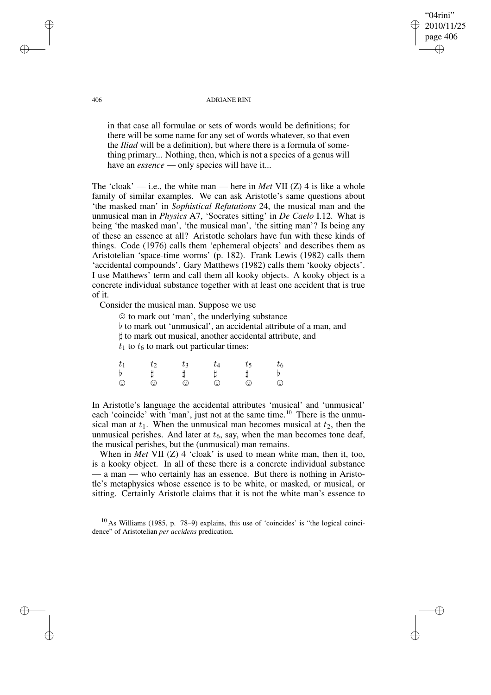"04rini" 2010/11/25 page 406 ✐ ✐

✐

✐

#### 406 ADRIANE RINI

in that case all formulae or sets of words would be definitions; for there will be some name for any set of words whatever, so that even the *Iliad* will be a definition), but where there is a formula of something primary... Nothing, then, which is not a species of a genus will have an *essence* — only species will have it...

The 'cloak' — i.e., the white man — here in *Met* VII (Z) 4 is like a whole family of similar examples. We can ask Aristotle's same questions about 'the masked man' in *Sophistical Refutations* 24, the musical man and the unmusical man in *Physics* A7, 'Socrates sitting' in *De Caelo* I.12. What is being 'the masked man', 'the musical man', 'the sitting man'? Is being any of these an essence at all? Aristotle scholars have fun with these kinds of things. Code (1976) calls them 'ephemeral objects' and describes them as Aristotelian 'space-time worms' (p. 182). Frank Lewis (1982) calls them 'accidental compounds'. Gary Matthews (1982) calls them 'kooky objects'. I use Matthews' term and call them all kooky objects. A kooky object is a concrete individual substance together with at least one accident that is true of it.

Consider the musical man. Suppose we use

|  | $\odot$ to mark out 'man', the underlying substance<br>$t_1$ to $t_6$ to mark out particular times: |  | t to mark out musical, another accidental attribute, and | b to mark out 'unmusical', an accidental attribute of a man, and |
|--|-----------------------------------------------------------------------------------------------------|--|----------------------------------------------------------|------------------------------------------------------------------|
|  |                                                                                                     |  |                                                          |                                                                  |

| $-t_1$      | Гο      | tз |   |         | $t_{\rm 6}$ |
|-------------|---------|----|---|---------|-------------|
| $\mathbf b$ |         |    |   |         |             |
| $\odot$     | $\odot$ | ⊙  | ⊙ | $\odot$ | $\odot$     |

In Aristotle's language the accidental attributes 'musical' and 'unmusical' each 'coincide' with 'man', just not at the same time.<sup>10</sup> There is the unmusical man at  $t_1$ . When the unmusical man becomes musical at  $t_2$ , then the unmusical perishes. And later at  $t_6$ , say, when the man becomes tone deaf, the musical perishes, but the (unmusical) man remains.

When in *Met* VII (Z) 4 'cloak' is used to mean white man, then it, too, is a kooky object. In all of these there is a concrete individual substance — a man — who certainly has an essence. But there is nothing in Aristotle's metaphysics whose essence is to be white, or masked, or musical, or sitting. Certainly Aristotle claims that it is not the white man's essence to

 $10$  As Williams (1985, p. 78–9) explains, this use of 'coincides' is "the logical coincidence" of Aristotelian *per accidens* predication.

✐

✐

✐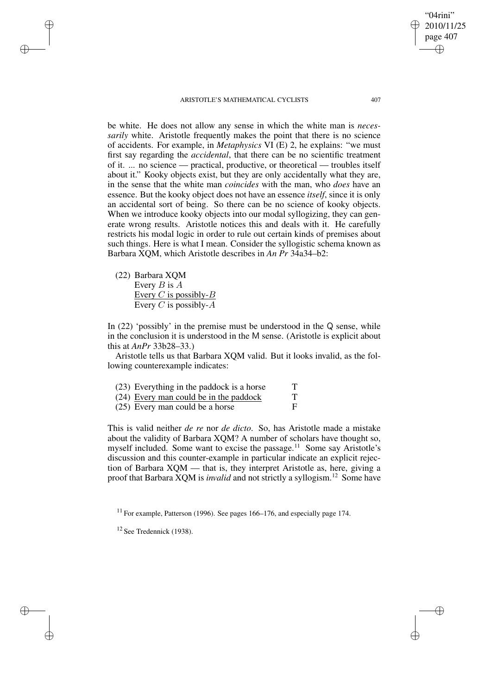be white. He does not allow any sense in which the white man is *necessarily* white. Aristotle frequently makes the point that there is no science of accidents. For example, in *Metaphysics* VI (E) 2, he explains: "we must first say regarding the *accidental*, that there can be no scientific treatment of it. ... no science — practical, productive, or theoretical — troubles itself about it." Kooky objects exist, but they are only accidentally what they are, in the sense that the white man *coincides* with the man, who *does* have an essence. But the kooky object does not have an essence *itself*, since it is only an accidental sort of being. So there can be no science of kooky objects. When we introduce kooky objects into our modal syllogizing, they can generate wrong results. Aristotle notices this and deals with it. He carefully restricts his modal logic in order to rule out certain kinds of premises about such things. Here is what I mean. Consider the syllogistic schema known as Barbara XQM, which Aristotle describes in *An Pr* 34a34–b2:

(22) Barbara XQM Every  $B$  is  $A$ Every  $C$  is possibly- $B$ Every C is possibly- $\overline{A}$ 

✐

✐

✐

✐

In  $(22)$  'possibly' in the premise must be understood in the Q sense, while in the conclusion it is understood in the M sense. (Aristotle is explicit about this at *AnPr* 33b28–33.)

Aristotle tells us that Barbara XQM valid. But it looks invalid, as the following counterexample indicates:

|  |  |  | (23) Everything in the paddock is a horse |  |
|--|--|--|-------------------------------------------|--|
|--|--|--|-------------------------------------------|--|

- (24) <u>Every man could be in the paddock</u> T<br>(25) Every man could be a horse
- $(25)$  Every man could be a horse

This is valid neither *de re* nor *de dicto*. So, has Aristotle made a mistake about the validity of Barbara XQM? A number of scholars have thought so, myself included. Some want to excise the passage.<sup>11</sup> Some say Aristotle's discussion and this counter-example in particular indicate an explicit rejection of Barbara XQM — that is, they interpret Aristotle as, here, giving a proof that Barbara XQM is *invalid* and not strictly a syllogism.<sup>12</sup> Some have

<sup>11</sup> For example, Patterson (1996). See pages 166–176, and especially page 174.

"04rini" 2010/11/25 page 407

✐

✐

✐

<sup>12</sup> See Tredennick (1938).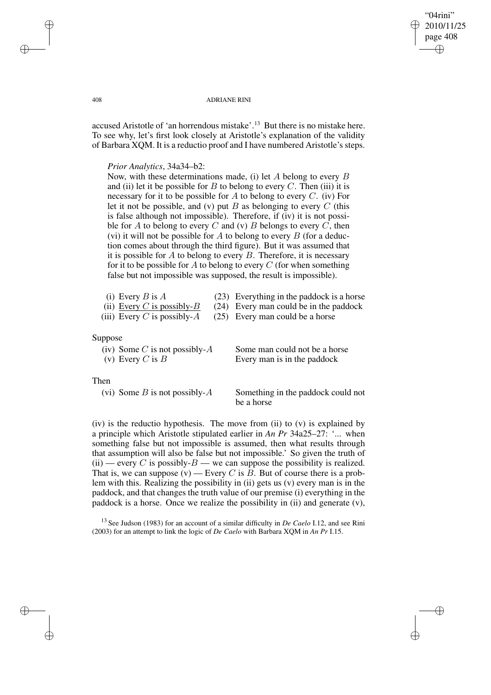## "04rini" 2010/11/25 page 408 ✐ ✐

✐

✐

### 408 ADRIANE RINI

accused Aristotle of 'an horrendous mistake'.<sup>13</sup> But there is no mistake here. To see why, let's first look closely at Aristotle's explanation of the validity of Barbara XQM. It is a reductio proof and I have numbered Aristotle's steps.

## *Prior Analytics*, 34a34–b2:

Now, with these determinations made, (i) let  $A$  belong to every  $B$ and (ii) let it be possible for B to belong to every C. Then (iii) it is necessary for it to be possible for A to belong to every  $C$ . (iv) For let it not be possible, and (v) put  $B$  as belonging to every  $C$  (this is false although not impossible). Therefore, if (iv) it is not possible for A to belong to every C and (v) B belongs to every C, then (vi) it will not be possible for A to belong to every B (for a deduction comes about through the third figure). But it was assumed that it is possible for  $A$  to belong to every  $B$ . Therefore, it is necessary for it to be possible for  $A$  to belong to every  $C$  (for when something false but not impossible was supposed, the result is impossible).

| (i) Every $B$ is $A$           | (23) Everything in the paddock is a horse |
|--------------------------------|-------------------------------------------|
| (ii) Every C is possibly- $B$  | (24) Every man could be in the paddock    |
| (iii) Every C is possibly- $A$ | (25) Every man could be a horse           |
|                                |                                           |
|                                |                                           |

# Suppose

| (iv) Some C is not possibly- $A$ | Some man could not be a horse |
|----------------------------------|-------------------------------|
| (v) Every C is $B$               | Every man is in the paddock   |

# Then

(vi) Some  $B$  is not possibly- $A$  Something in the paddock could not be a horse

(iv) is the reductio hypothesis. The move from (ii) to  $(v)$  is explained by a principle which Aristotle stipulated earlier in *An Pr* 34a25–27: '... when something false but not impossible is assumed, then what results through that assumption will also be false but not impossible.' So given the truth of (ii) — every C is possibly- $B$  — we can suppose the possibility is realized. That is, we can suppose  $(v)$  — Every C is B. But of course there is a problem with this. Realizing the possibility in (ii) gets us (v) every man is in the paddock, and that changes the truth value of our premise (i) everything in the paddock is a horse. Once we realize the possibility in (ii) and generate (v),

<sup>13</sup> See Judson (1983) for an account of a similar difficulty in *De Caelo* I.12, and see Rini (2003) for an attempt to link the logic of *De Caelo* with Barbara XQM in *An Pr* I.15.

✐

✐

✐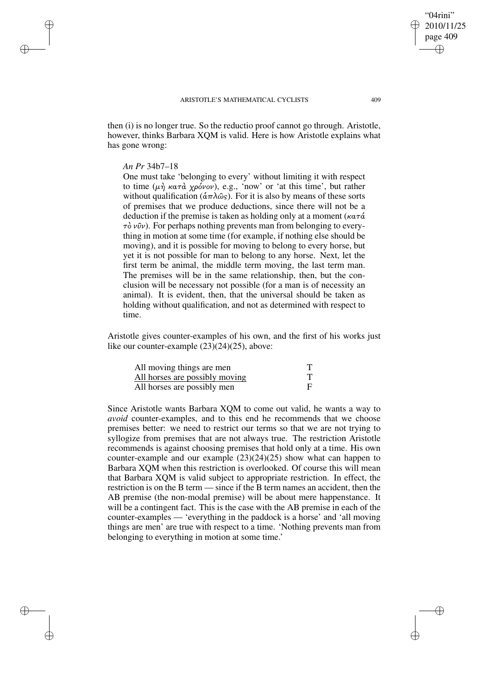then (i) is no longer true. So the reductio proof cannot go through. Aristotle, however, thinks Barbara XQM is valid. Here is how Aristotle explains what has gone wrong:

## *An Pr* 34b7–18

✐

✐

✐

✐

One must take 'belonging to every' without limiting it with respect to time (μή κατά χρόνον), e.g., 'now' or 'at this time', but rather without qualification ( $\frac{\hat{\alpha}}{\pi} \lambda \hat{\omega}_s$ ). For it is also by means of these sorts of premises that we produce deductions, since there will not be a deduction if the premise is taken as holding only at a moment ( $\kappa \alpha \tau \alpha$ )  $\tau\delta v\hat{v}v$ ). For perhaps nothing prevents man from belonging to everything in motion at some time (for example, if nothing else should be moving), and it is possible for moving to belong to every horse, but yet it is not possible for man to belong to any horse. Next, let the first term be animal, the middle term moving, the last term man. The premises will be in the same relationship, then, but the conclusion will be necessary not possible (for a man is of necessity an animal). It is evident, then, that the universal should be taken as holding without qualification, and not as determined with respect to time.

Aristotle gives counter-examples of his own, and the first of his works just like our counter-example (23)(24)(25), above:

| All moving things are men      |  |
|--------------------------------|--|
| All horses are possibly moving |  |
| All horses are possibly men    |  |

Since Aristotle wants Barbara XQM to come out valid, he wants a way to *avoid* counter-examples, and to this end he recommends that we choose premises better: we need to restrict our terms so that we are not trying to syllogize from premises that are not always true. The restriction Aristotle recommends is against choosing premises that hold only at a time. His own counter-example and our example (23)(24)(25) show what can happen to Barbara XQM when this restriction is overlooked. Of course this will mean that Barbara XQM is valid subject to appropriate restriction. In effect, the restriction is on the B term — since if the B term names an accident, then the AB premise (the non-modal premise) will be about mere happenstance. It will be a contingent fact. This is the case with the AB premise in each of the counter-examples — 'everything in the paddock is a horse' and 'all moving things are men' are true with respect to a time. 'Nothing prevents man from belonging to everything in motion at some time.'

"04rini" 2010/11/25 page 409

✐

✐

✐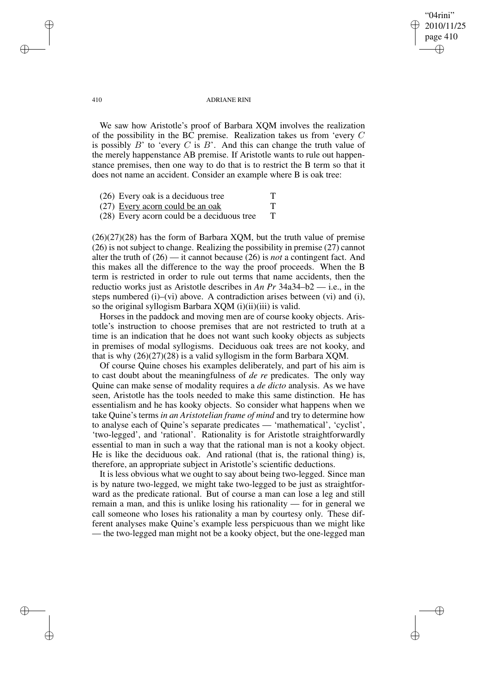## "04rini" 2010/11/25 page 410 ✐ ✐

✐

✐

#### 410 ADRIANE RINI

We saw how Aristotle's proof of Barbara XQM involves the realization of the possibility in the BC premise. Realization takes us from 'every C is possibly  $B'$  to 'every  $C$  is  $B'$ . And this can change the truth value of the merely happenstance AB premise. If Aristotle wants to rule out happenstance premises, then one way to do that is to restrict the B term so that it does not name an accident. Consider an example where B is oak tree:

| (26) Every oak is a deciduous tree         |   |
|--------------------------------------------|---|
| (27) Every acorn could be an oak           |   |
| (28) Every acorn could be a deciduous tree | Т |

 $(26)(27)(28)$  has the form of Barbara XQM, but the truth value of premise (26) is not subject to change. Realizing the possibility in premise (27) cannot alter the truth of (26) — it cannot because (26) is *not* a contingent fact. And this makes all the difference to the way the proof proceeds. When the B term is restricted in order to rule out terms that name accidents, then the reductio works just as Aristotle describes in *An Pr* 34a34–b2 — i.e., in the steps numbered (i)–(vi) above. A contradiction arises between (vi) and (i), so the original syllogism Barbara XQM (i)(ii)(iii) is valid.

Horses in the paddock and moving men are of course kooky objects. Aristotle's instruction to choose premises that are not restricted to truth at a time is an indication that he does not want such kooky objects as subjects in premises of modal syllogisms. Deciduous oak trees are not kooky, and that is why (26)(27)(28) is a valid syllogism in the form Barbara XQM.

Of course Quine choses his examples deliberately, and part of his aim is to cast doubt about the meaningfulness of *de re* predicates. The only way Quine can make sense of modality requires a *de dicto* analysis. As we have seen, Aristotle has the tools needed to make this same distinction. He has essentialism and he has kooky objects. So consider what happens when we take Quine's terms *in an Aristotelian frame of mind* and try to determine how to analyse each of Quine's separate predicates — 'mathematical', 'cyclist', 'two-legged', and 'rational'. Rationality is for Aristotle straightforwardly essential to man in such a way that the rational man is not a kooky object. He is like the deciduous oak. And rational (that is, the rational thing) is, therefore, an appropriate subject in Aristotle's scientific deductions.

It is less obvious what we ought to say about being two-legged. Since man is by nature two-legged, we might take two-legged to be just as straightforward as the predicate rational. But of course a man can lose a leg and still remain a man, and this is unlike losing his rationality — for in general we call someone who loses his rationality a man by courtesy only. These different analyses make Quine's example less perspicuous than we might like — the two-legged man might not be a kooky object, but the one-legged man

✐

✐

✐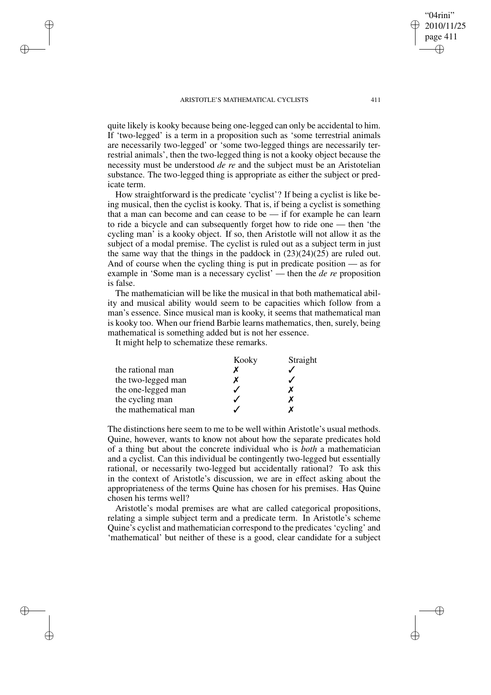quite likely is kooky because being one-legged can only be accidental to him. If 'two-legged' is a term in a proposition such as 'some terrestrial animals are necessarily two-legged' or 'some two-legged things are necessarily terrestrial animals', then the two-legged thing is not a kooky object because the necessity must be understood *de re* and the subject must be an Aristotelian substance. The two-legged thing is appropriate as either the subject or predicate term.

How straightforward is the predicate 'cyclist'? If being a cyclist is like being musical, then the cyclist is kooky. That is, if being a cyclist is something that a man can become and can cease to be — if for example he can learn to ride a bicycle and can subsequently forget how to ride one — then 'the cycling man' is a kooky object. If so, then Aristotle will not allow it as the subject of a modal premise. The cyclist is ruled out as a subject term in just the same way that the things in the paddock in  $(23)(24)(25)$  are ruled out. And of course when the cycling thing is put in predicate position — as for example in 'Some man is a necessary cyclist' — then the *de re* proposition is false.

The mathematician will be like the musical in that both mathematical ability and musical ability would seem to be capacities which follow from a man's essence. Since musical man is kooky, it seems that mathematical man is kooky too. When our friend Barbie learns mathematics, then, surely, being mathematical is something added but is not her essence.

It might help to schematize these remarks.

✐

✐

✐

✐

|                      | Kooky | Straight |
|----------------------|-------|----------|
| the rational man     |       |          |
| the two-legged man   |       |          |
| the one-legged man   |       |          |
| the cycling man      |       |          |
| the mathematical man |       |          |

The distinctions here seem to me to be well within Aristotle's usual methods. Quine, however, wants to know not about how the separate predicates hold of a thing but about the concrete individual who is *both* a mathematician and a cyclist. Can this individual be contingently two-legged but essentially rational, or necessarily two-legged but accidentally rational? To ask this in the context of Aristotle's discussion, we are in effect asking about the appropriateness of the terms Quine has chosen for his premises. Has Quine chosen his terms well?

Aristotle's modal premises are what are called categorical propositions, relating a simple subject term and a predicate term. In Aristotle's scheme Quine's cyclist and mathematician correspond to the predicates 'cycling' and 'mathematical' but neither of these is a good, clear candidate for a subject

"04rini" 2010/11/25 page 411

✐

✐

✐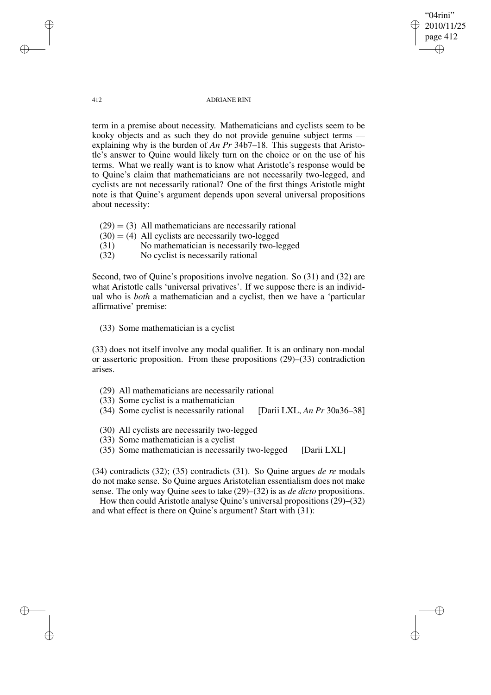"04rini" 2010/11/25 page 412 ✐ ✐

✐

✐

### 412 ADRIANE RINI

term in a premise about necessity. Mathematicians and cyclists seem to be kooky objects and as such they do not provide genuine subject terms explaining why is the burden of *An Pr* 34b7–18. This suggests that Aristotle's answer to Quine would likely turn on the choice or on the use of his terms. What we really want is to know what Aristotle's response would be to Quine's claim that mathematicians are not necessarily two-legged, and cyclists are not necessarily rational? One of the first things Aristotle might note is that Quine's argument depends upon several universal propositions about necessity:

- $(29) = (3)$  All mathematicians are necessarily rational
- $(30) = (4)$  All cyclists are necessarily two-legged
- (31) No mathematician is necessarily two-legged
- (32) No cyclist is necessarily rational

Second, two of Quine's propositions involve negation. So (31) and (32) are what Aristotle calls 'universal privatives'. If we suppose there is an individual who is *both* a mathematician and a cyclist, then we have a 'particular affirmative' premise:

(33) Some mathematician is a cyclist

(33) does not itself involve any modal qualifier. It is an ordinary non-modal or assertoric proposition. From these propositions (29)–(33) contradiction arises.

- (29) All mathematicians are necessarily rational
- (33) Some cyclist is a mathematician
- (34) Some cyclist is necessarily rational [Darii LXL, *An Pr* 30a36–38]
- (30) All cyclists are necessarily two-legged
- (33) Some mathematician is a cyclist
- (35) Some mathematician is necessarily two-legged [Darii LXL]

(34) contradicts (32); (35) contradicts (31). So Quine argues *de re* modals do not make sense. So Quine argues Aristotelian essentialism does not make sense. The only way Quine sees to take (29)–(32) is as *de dicto* propositions.

How then could Aristotle analyse Quine's universal propositions (29)–(32) and what effect is there on Quine's argument? Start with (31):

✐

✐

✐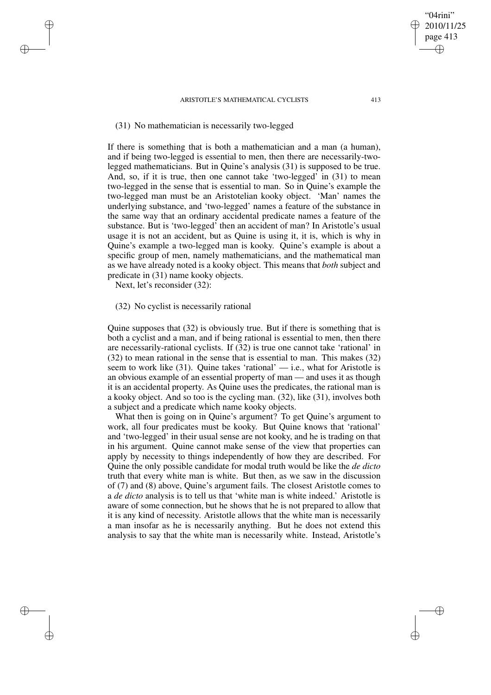## (31) No mathematician is necessarily two-legged

If there is something that is both a mathematician and a man (a human), and if being two-legged is essential to men, then there are necessarily-twolegged mathematicians. But in Quine's analysis (31) is supposed to be true. And, so, if it is true, then one cannot take 'two-legged' in (31) to mean two-legged in the sense that is essential to man. So in Quine's example the two-legged man must be an Aristotelian kooky object. 'Man' names the underlying substance, and 'two-legged' names a feature of the substance in the same way that an ordinary accidental predicate names a feature of the substance. But is 'two-legged' then an accident of man? In Aristotle's usual usage it is not an accident, but as Quine is using it, it is, which is why in Quine's example a two-legged man is kooky. Quine's example is about a specific group of men, namely mathematicians, and the mathematical man as we have already noted is a kooky object. This means that *both* subject and predicate in (31) name kooky objects.

Next, let's reconsider (32):

✐

✐

✐

✐

# (32) No cyclist is necessarily rational

Quine supposes that (32) is obviously true. But if there is something that is both a cyclist and a man, and if being rational is essential to men, then there are necessarily-rational cyclists. If (32) is true one cannot take 'rational' in (32) to mean rational in the sense that is essential to man. This makes (32) seem to work like  $(31)$ . Quine takes 'rational' — i.e., what for Aristotle is an obvious example of an essential property of man — and uses it as though it is an accidental property. As Quine uses the predicates, the rational man is a kooky object. And so too is the cycling man. (32), like (31), involves both a subject and a predicate which name kooky objects.

What then is going on in Quine's argument? To get Quine's argument to work, all four predicates must be kooky. But Quine knows that 'rational' and 'two-legged' in their usual sense are not kooky, and he is trading on that in his argument. Quine cannot make sense of the view that properties can apply by necessity to things independently of how they are described. For Quine the only possible candidate for modal truth would be like the *de dicto* truth that every white man is white. But then, as we saw in the discussion of (7) and (8) above, Quine's argument fails. The closest Aristotle comes to a *de dicto* analysis is to tell us that 'white man is white indeed.' Aristotle is aware of some connection, but he shows that he is not prepared to allow that it is any kind of necessity. Aristotle allows that the white man is necessarily a man insofar as he is necessarily anything. But he does not extend this analysis to say that the white man is necessarily white. Instead, Aristotle's

"04rini" 2010/11/25 page 413

✐

✐

✐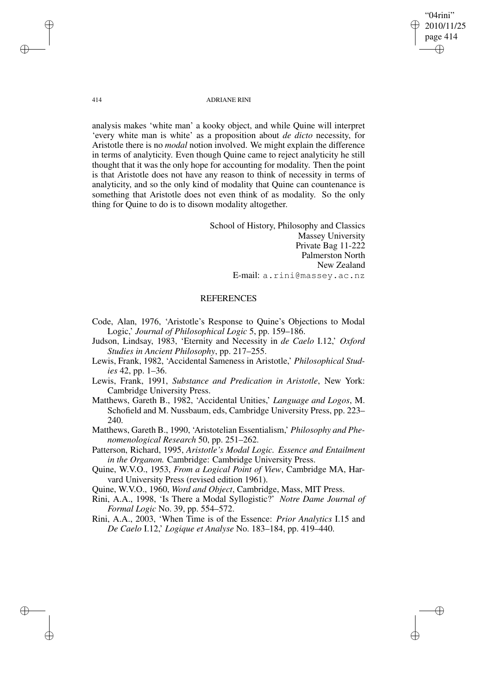"04rini" 2010/11/25 page 414 ✐ ✐

✐

✐

### 414 ADRIANE RINI

analysis makes 'white man' a kooky object, and while Quine will interpret 'every white man is white' as a proposition about *de dicto* necessity, for Aristotle there is no *modal* notion involved. We might explain the difference in terms of analyticity. Even though Quine came to reject analyticity he still thought that it was the only hope for accounting for modality. Then the point is that Aristotle does not have any reason to think of necessity in terms of analyticity, and so the only kind of modality that Quine can countenance is something that Aristotle does not even think of as modality. So the only thing for Quine to do is to disown modality altogether.

> School of History, Philosophy and Classics Massey University Private Bag 11-222 Palmerston North New Zealand E-mail: a.rini@massey.ac.nz

### REFERENCES

Code, Alan, 1976, 'Aristotle's Response to Quine's Objections to Modal Logic,' *Journal of Philosophical Logic* 5, pp. 159–186.

Judson, Lindsay, 1983, 'Eternity and Necessity in *de Caelo* I.12,' *Oxford Studies in Ancient Philosophy*, pp. 217–255.

- Lewis, Frank, 1982, 'Accidental Sameness in Aristotle,' *Philosophical Studies* 42, pp. 1–36.
- Lewis, Frank, 1991, *Substance and Predication in Aristotle*, New York: Cambridge University Press.

Matthews, Gareth B., 1982, 'Accidental Unities,' *Language and Logos*, M. Schofield and M. Nussbaum, eds, Cambridge University Press, pp. 223– 240.

Matthews, Gareth B., 1990, 'Aristotelian Essentialism,' *Philosophy and Phenomenological Research* 50, pp. 251–262.

Patterson, Richard, 1995, *Aristotle's Modal Logic. Essence and Entailment in the Organon.* Cambridge: Cambridge University Press.

Quine, W.V.O., 1953, *From a Logical Point of View*, Cambridge MA, Harvard University Press (revised edition 1961).

Quine, W.V.O., 1960, *Word and Object*, Cambridge, Mass, MIT Press.

Rini, A.A., 1998, 'Is There a Modal Syllogistic?' *Notre Dame Journal of Formal Logic* No. 39, pp. 554–572.

Rini, A.A., 2003, 'When Time is of the Essence: *Prior Analytics* I.15 and *De Caelo* I.12,' *Logique et Analyse* No. 183–184, pp. 419–440.

✐

✐

✐